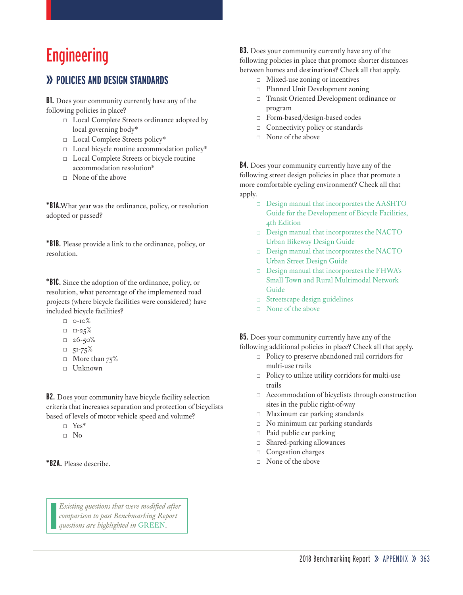# Engineering

## **» POLICIES AND DESIGN STANDARDS**

**B1.** Does your community currently have any of the following policies in place?

- □ Local Complete Streets ordinance adopted by local governing body\*
- □ Local Complete Streets policy\*
- $\Box$  Local bicycle routine accommodation policy\*
- □ Local Complete Streets or bicycle routine accommodation resolution\*
- $\neg$  None of the above

**\*B1A.**What year was the ordinance, policy, or resolution adopted or passed?

**\*B1B.** Please provide a link to the ordinance, policy, or resolution.

**\*B1C.** Since the adoption of the ordinance, policy, or resolution, what percentage of the implemented road projects (where bicycle facilities were considered) have included bicycle facilities?

- $\Box$  0-10%
- $\neg$  II-25%
- $= 26 50%$
- $\Box$  51-75%
- $\Box$  More than 75%
- □ Unknown

**B2.** Does your community have bicycle facility selection criteria that increases separation and protection of bicyclists based of levels of motor vehicle speed and volume?

- □ Yes\*
- $\neg$  No

**\*B2A.** Please describe.

**B3.** Does your community currently have any of the following policies in place that promote shorter distances between homes and destinations? Check all that apply.

- □ Mixed-use zoning or incentives
- □ Planned Unit Development zoning
- □ Transit Oriented Development ordinance or program
- □ Form-based/design-based codes
- $\Box$  Connectivity policy or standards
- □ None of the above

**B4.** Does your community currently have any of the following street design policies in place that promote a more comfortable cycling environment? Check all that apply.

- □ Design manual that incorporates the AASHTO Guide for the Development of Bicycle Facilities, 4th Edition
- □ Design manual that incorporates the NACTO Urban Bikeway Design Guide
- □ Design manual that incorporates the NACTO Urban Street Design Guide
- □ Design manual that incorporates the FHWA's Small Town and Rural Multimodal Network Guide
- □ Streetscape design guidelines
- □ None of the above

**B5.** Does your community currently have any of the following additional policies in place? Check all that apply.

- □ Policy to preserve abandoned rail corridors for multi-use trails
- □ Policy to utilize utility corridors for multi-use trails
- □ Accommodation of bicyclists through construction sites in the public right-of-way
- □ Maximum car parking standards
- $\Box$  No minimum car parking standards
- □ Paid public car parking
- □ Shared-parking allowances
- □ Congestion charges
- □ None of the above

*Existing questions that were modified after comparison to past Benchmarking Report questions are highlighted in* GREEN.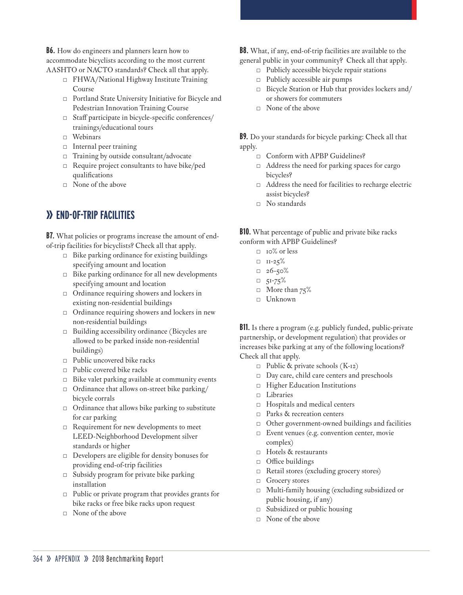**B6.** How do engineers and planners learn how to accommodate bicyclists according to the most current AASHTO or NACTO standards? Check all that apply.

- □ FHWA/National Highway Institute Training Course
- □ Portland State University Initiative for Bicycle and Pedestrian Innovation Training Course
- □ Staff participate in bicycle-specific conferences/ trainings/educational tours
- □ Webinars
- □ Internal peer training
- □ Training by outside consultant/advocate
- □ Require project consultants to have bike/ped qualifications
- □ None of the above

## **» END-OF-TRIP FACILITIES**

**B7.** What policies or programs increase the amount of endof-trip facilities for bicyclists? Check all that apply.

- $\Box$  Bike parking ordinance for existing buildings specifying amount and location
- $\Box$  Bike parking ordinance for all new developments specifying amount and location
- □ Ordinance requiring showers and lockers in existing non-residential buildings
- □ Ordinance requiring showers and lockers in new non-residential buildings
- □ Building accessibility ordinance (Bicycles are allowed to be parked inside non-residential buildings)
- □ Public uncovered bike racks
- $\Box$  Public covered bike racks
- $\Box$  Bike valet parking available at community events
- □ Ordinance that allows on-street bike parking/ bicycle corrals
- $\Box$  Ordinance that allows bike parking to substitute for car parking
- □ Requirement for new developments to meet LEED-Neighborhood Development silver standards or higher
- $\Box$  Developers are eligible for density bonuses for providing end-of-trip facilities
- □ Subsidy program for private bike parking installation
- $\Box$  Public or private program that provides grants for bike racks or free bike racks upon request
- □ None of the above

**B8.** What, if any, end-of-trip facilities are available to the general public in your community? Check all that apply.

- □ Publicly accessible bicycle repair stations
- $\Box$  Publicly accessible air pumps
- □ Bicycle Station or Hub that provides lockers and/ or showers for commuters
- □ None of the above

**B9.** Do your standards for bicycle parking: Check all that apply.

- □ Conform with APBP Guidelines?
- □ Address the need for parking spaces for cargo bicycles?
- □ Address the need for facilities to recharge electric assist bicycles?
- □ No standards

**B10.** What percentage of public and private bike racks conform with APBP Guidelines?

- □ 10% or less
- $\Box$  II-25%
- $= 26 50%$
- $\Box$  51-75%
- □ More than  $75%$
- $\neg$  Unknown

**B11.** Is there a program (e.g. publicly funded, public-private partnership, or development regulation) that provides or increases bike parking at any of the following locations? Check all that apply.

- $\Box$  Public & private schools (K-12)
- □ Day care, child care centers and preschools
- □ Higher Education Institutions
- □ Libraries
- □ Hospitals and medical centers
- □ Parks & recreation centers
- □ Other government-owned buildings and facilities
- □ Event venues (e.g. convention center, movie complex)
- □ Hotels & restaurants
- □ Office buildings
- □ Retail stores (excluding grocery stores)
- □ Grocery stores
- □ Multi-family housing (excluding subsidized or public housing, if any)
- $\Box$  Subsidized or public housing
- □ None of the above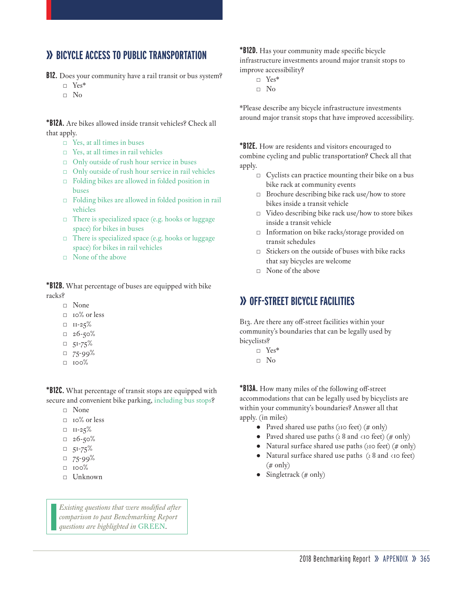### **» BICYCLE ACCESS TO PUBLIC TRANSPORTATION**

**B12.** Does your community have a rail transit or bus system?

- □ Yes\*
- □ No

**\*B12A.** Are bikes allowed inside transit vehicles? Check all that apply.

- □ Yes, at all times in buses
- □ Yes, at all times in rail vehicles
- □ Only outside of rush hour service in buses
- □ Only outside of rush hour service in rail vehicles
- □ Folding bikes are allowed in folded position in buses
- □ Folding bikes are allowed in folded position in rail vehicles
- $\Box$  There is specialized space (e.g. hooks or luggage space) for bikes in buses
- □ There is specialized space (e.g. hooks or luggage space) for bikes in rail vehicles
- □ None of the above

**\*B12B.** What percentage of buses are equipped with bike racks?

- □ None
	- □ 10% or less
	- $\Box$  II-25%
	- $= 26 50%$
	- $\n 51-75\%$
	- $\n 75-99\%$
	- □ 100%

**\*B12C.** What percentage of transit stops are equipped with secure and convenient bike parking, including bus stops?

- □ None
- □ 10% or less
- $\Box$  II-25%
- $= 26 50%$
- $\Box$  51-75%
- $\Box$  75-99%
- $\Box$  100%
- □ Unknown

*Existing questions that were modified after comparison to past Benchmarking Report questions are highlighted in* GREEN.

**\*B12D.** Has your community made specific bicycle infrastructure investments around major transit stops to improve accessibility?

- □ Yes\*
- □ No

\*Please describe any bicycle infrastructure investments around major transit stops that have improved accessibility.

**\*B12E.** How are residents and visitors encouraged to combine cycling and public transportation? Check all that apply.

- □ Cyclists can practice mounting their bike on a bus bike rack at community events
- □ Brochure describing bike rack use/how to store bikes inside a transit vehicle
- □ Video describing bike rack use/how to store bikes inside a transit vehicle
- □ Information on bike racks/storage provided on transit schedules
- Stickers on the outside of buses with bike racks that say bicycles are welcome
- $\Box$  None of the above

#### **» OFF-STREET BICYCLE FACILITIES**

B13. Are there any off-street facilities within your community's boundaries that can be legally used by bicyclists?

- □ Yes\*
- □ No

**\*B13A.** How many miles of the following off-street accommodations that can be legally used by bicyclists are within your community's boundaries? Answer all that apply. (in miles)

- Paved shared use paths (≥10 feet) (# only)
- Paved shared use paths ( $\geq 8$  and  $\lt$ 10 feet) (# only)
- Natural surface shared use paths ( $210$  feet) (# only)
- Natural surface shared use paths ( $\geq 8$  and  $\lt$ 10 feet)  $(\# \text{ only})$
- Singletrack  $(\# \text{ only})$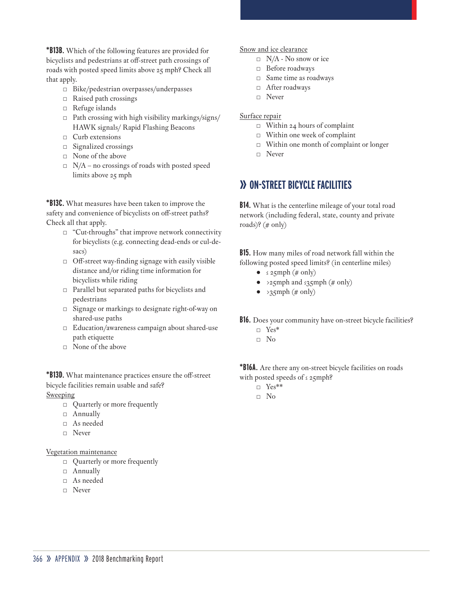**\*B13B.** Which of the following features are provided for bicyclists and pedestrians at off-street path crossings of roads with posted speed limits above 25 mph? Check all that apply.

- □ Bike/pedestrian overpasses/underpasses
- □ Raised path crossings
- □ Refuge islands
- □ Path crossing with high visibility markings/signs/ HAWK signals/ Rapid Flashing Beacons
- □ Curb extensions
- $\Box$  Signalized crossings
- □ None of the above
- $\Box$  N/A no crossings of roads with posted speed limits above 25 mph

**\*B13C.** What measures have been taken to improve the safety and convenience of bicyclists on off-street paths? Check all that apply.

- □ "Cut-throughs" that improve network connectivity for bicyclists (e.g. connecting dead-ends or cul-desacs)
- $\Box$  Off-street way-finding signage with easily visible distance and/or riding time information for bicyclists while riding
- □ Parallel but separated paths for bicyclists and pedestrians
- □ Signage or markings to designate right-of-way on shared-use paths
- □ Education/awareness campaign about shared-use path etiquette
- □ None of the above

**\*B13D.** What maintenance practices ensure the off-street bicycle facilities remain usable and safe? Sweeping

- □ Quarterly or more frequently
- □ Annually
- □ As needed
- □ Never

#### Vegetation maintenance

- □ Quarterly or more frequently
- □ Annually
- □ As needed
- □ Never

Snow and ice clearance

- □ N/A No snow or ice
- □ Before roadways
- □ Same time as roadways
- □ After roadways
- □ Never

#### Surface repair

- $\Box$  Within 24 hours of complaint
- □ Within one week of complaint
- □ Within one month of complaint or longer
- □ Never

### **» ON-STREET BICYCLE FACILITIES**

**B14.** What is the centerline mileage of your total road network (including federal, state, county and private roads)? (# only)

**B15.** How many miles of road network fall within the following posted speed limits? (in centerline miles)

- $\bullet$   $\leq$  25mph (# only)
- >25mph and ≤35mph (# only)
- $\bullet \rightarrow 35$ mph (# only)

**B16.** Does your community have on-street bicycle facilities?

□ Yes\* □ No

**\*B16A.** Are there any on-street bicycle facilities on roads with posted speeds of ≤ 25mph?

- □ Yes\*\*
- □ No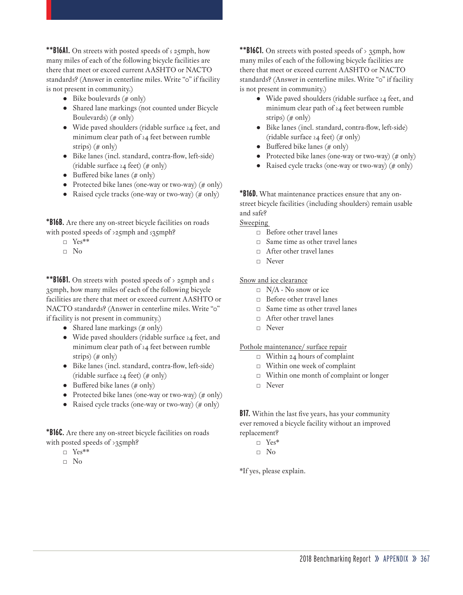**\*\*B16A1.** On streets with posted speeds of ≤ 25mph, how many miles of each of the following bicycle facilities are there that meet or exceed current AASHTO or NACTO standards? (Answer in centerline miles. Write "0" if facility is not present in community.)

- Bike boulevards  $(\# \text{ only})$
- Shared lane markings (not counted under Bicycle Boulevards) (# only)
- Wide paved shoulders (ridable surface ≥4 feet, and minimum clear path of ≥4 feet between rumble strips)  $(\# \text{ only})$
- Bike lanes (incl. standard, contra-flow, left-side) (ridable surface ≥4 feet) (# only)
- Buffered bike lanes (# only)
- Protected bike lanes (one-way or two-way)  $(\# \text{ only})$
- Raised cycle tracks (one-way or two-way) (# only)

**\*B16B.** Are there any on-street bicycle facilities on roads with posted speeds of >25mph and ≤35mph?

- □ Yes\*\*
- □ No

**\*\*B16B1.** On streets with posted speeds of > 25mph and ≤ 35mph, how many miles of each of the following bicycle facilities are there that meet or exceed current AASHTO or NACTO standards? (Answer in centerline miles. Write "0" if facility is not present in community.)

- Shared lane markings  $(\# \text{ only})$
- Wide paved shoulders (ridable surface ≥4 feet, and minimum clear path of ≥4 feet between rumble strips) (# only)
- Bike lanes (incl. standard, contra-flow, left-side) (ridable surface ≥4 feet) (# only)
- Buffered bike lanes  $(\# \text{ only})$
- Protected bike lanes (one-way or two-way)  $(\# \text{ only})$
- Raised cycle tracks (one-way or two-way) (# only)

**\*B16C.** Are there any on-street bicycle facilities on roads with posted speeds of >35mph?

- □ Yes\*\*
- □ No

**\*\*B16C1.** On streets with posted speeds of  $> 35$ mph, how many miles of each of the following bicycle facilities are there that meet or exceed current AASHTO or NACTO standards? (Answer in centerline miles. Write "0" if facility is not present in community.)

- Wide paved shoulders (ridable surface ≥4 feet, and minimum clear path of ≥4 feet between rumble strips) (# only)
- Bike lanes (incl. standard, contra-flow, left-side) (ridable surface ≥4 feet) (# only)
- Buffered bike lanes ( $\#$  only)
- Protected bike lanes (one-way or two-way)  $(\# \text{ only})$
- Raised cycle tracks (one-way or two-way) (# only)

**\*B16D.** What maintenance practices ensure that any onstreet bicycle facilities (including shoulders) remain usable and safe?

**Sweeping** 

- □ Before other travel lanes
- $\Box$  Same time as other travel lanes
- □ After other travel lanes
- □ Never

Snow and ice clearance

- □ N/A No snow or ice
- □ Before other travel lanes
- □ Same time as other travel lanes
- □ After other travel lanes
- □ Never

Pothole maintenance/ surface repair

- $\Box$  Within 24 hours of complaint
- □ Within one week of complaint
- □ Within one month of complaint or longer
- □ Never

**B17.** Within the last five years, has your community ever removed a bicycle facility without an improved replacement?

- □ Yes\*
- □ No

\*If yes, please explain.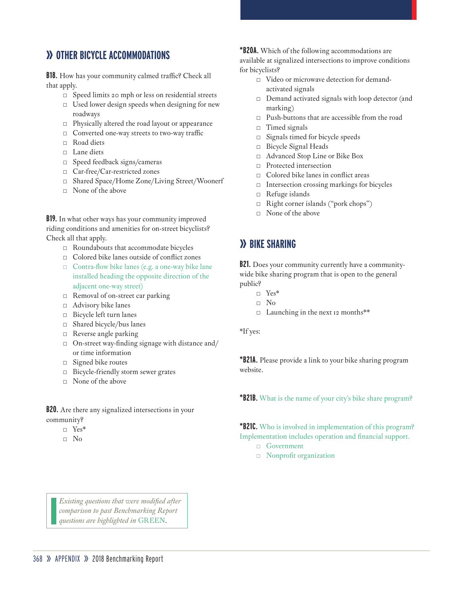## **» OTHER BICYCLE ACCOMMODATIONS**

**B18.** How has your community calmed traffic? Check all that apply.

- □ Speed limits 20 mph or less on residential streets
- □ Used lower design speeds when designing for new roadways
- $\Box$  Physically altered the road layout or appearance
- □ Converted one-way streets to two-way traffic
- $\Box$  Road diets
- □ Lane diets
- □ Speed feedback signs/cameras
- □ Car-free/Car-restricted zones
- □ Shared Space/Home Zone/Living Street/Woonerf
- □ None of the above

**B19.** In what other ways has your community improved riding conditions and amenities for on-street bicyclists? Check all that apply.

- $\Box$  Roundabouts that accommodate bicycles
- □ Colored bike lanes outside of conflict zones
- □ Contra-flow bike lanes (e.g. a one-way bike lane installed heading the opposite direction of the adjacent one-way street)
- □ Removal of on-street car parking
- □ Advisory bike lanes
- □ Bicycle left turn lanes
- □ Shared bicycle/bus lanes
- □ Reverse angle parking
- $\Box$  On-street way-finding signage with distance and/ or time information
- □ Signed bike routes
- □ Bicycle-friendly storm sewer grates
- $\Box$  None of the above

**B20.** Are there any signalized intersections in your community?

- □ Yes\*
- □ No

**\*B20A.** Which of the following accommodations are available at signalized intersections to improve conditions for bicyclists?

- □ Video or microwave detection for demandactivated signals
- □ Demand activated signals with loop detector (and marking)
- □ Push-buttons that are accessible from the road
- □ Timed signals
- □ Signals timed for bicycle speeds
- □ Bicycle Signal Heads
- □ Advanced Stop Line or Bike Box
- □ Protected intersection
- □ Colored bike lanes in conflict areas
- $\Box$  Intersection crossing markings for bicycles
- □ Refuge islands
- □ Right corner islands ("pork chops")
- □ None of the above

## **» BIKE SHARING**

**B21.** Does your community currently have a communitywide bike sharing program that is open to the general public?

- □ Yes\*
- □ No
- □ Launching in the next 12 months\*\*

\*If yes:

**\*B21A.** Please provide a link to your bike sharing program website.

**\*B21B.** What is the name of your city's bike share program?

**\*B21C.** Who is involved in implementation of this program? Implementation includes operation and financial support.

- □ Government
- □ Nonprofit organization

*Existing questions that were modified after comparison to past Benchmarking Report questions are highlighted in* GREEN.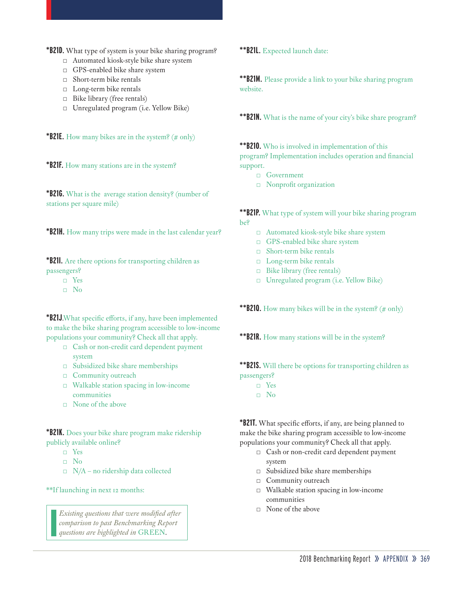**\*B21D.** What type of system is your bike sharing program?

- □ Automated kiosk-style bike share system
- □ GPS-enabled bike share system
- □ Short-term bike rentals
- □ Long-term bike rentals
- □ Bike library (free rentals)
- □ Unregulated program (i.e. Yellow Bike)

**\*B21E.** How many bikes are in the system? (# only)

**\*B21F.** How many stations are in the system?

**\*B21G.** What is the average station density? (number of stations per square mile)

**\*B21H.** How many trips were made in the last calendar year?

**\*B21I.** Are there options for transporting children as passengers?

- □ Yes
- □ No

**\*B21J**.What specific efforts, if any, have been implemented to make the bike sharing program accessible to low-income populations your community? Check all that apply.

- □ Cash or non-credit card dependent payment system
- □ Subsidized bike share memberships
- □ Community outreach
- $\Box$  Walkable station spacing in low-income communities
- □ None of the above

**\*B21K.** Does your bike share program make ridership publicly available online?

- □ Yes
- □ No
- $\Box$  N/A no ridership data collected

\*\*If launching in next 12 months:

□ None of the above *Existing questions that were modified after comparison to past Benchmarking Report questions are highlighted in* GREEN.

**\*\*B21L.** Expected launch date:

**\*\*B21M.** Please provide a link to your bike sharing program website.

**\*\*B21N.** What is the name of your city's bike share program?

**\*\*B21O.** Who is involved in implementation of this program? Implementation includes operation and financial

- support.
	- □ Government
	- □ Nonprofit organization

**\*\*B21P.** What type of system will your bike sharing program be?

- □ Automated kiosk-style bike share system
- □ GPS-enabled bike share system
- □ Short-term bike rentals
- □ Long-term bike rentals
- □ Bike library (free rentals)
- □ Unregulated program (i.e. Yellow Bike)

\*\***B210.** How many bikes will be in the system? (# only)

**\*\*B21R.** How many stations will be in the system?

**\*\*B21S.** Will there be options for transporting children as passengers?

- □ Yes
- □ No

**\*B21T.** What specific efforts, if any, are being planned to make the bike sharing program accessible to low-income populations your community? Check all that apply.

- □ Cash or non-credit card dependent payment system
- □ Subsidized bike share memberships
- □ Community outreach
- □ Walkable station spacing in low-income communities
-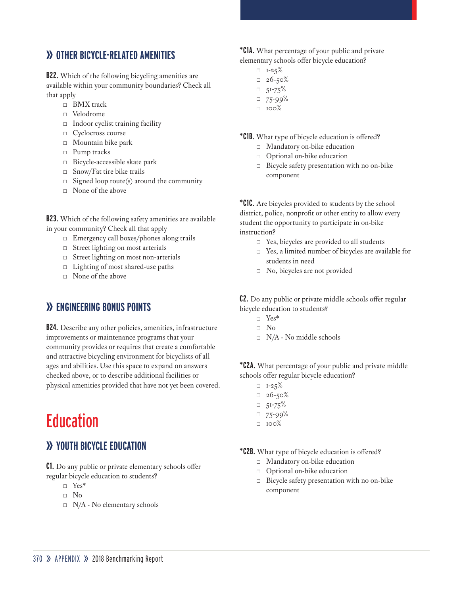## **» OTHER BICYCLE-RELATED AMENITIES**

**B22.** Which of the following bicycling amenities are available within your community boundaries? Check all that apply

- □ BMX track
- □ Velodrome
- □ Indoor cyclist training facility
- □ Cyclocross course
- □ Mountain bike park
- □ Pump tracks
- □ Bicycle-accessible skate park
- □ Snow/Fat tire bike trails
- $\Box$  Signed loop route(s) around the community
- □ None of the above

**B23.** Which of the following safety amenities are available in your community? Check all that apply

- □ Emergency call boxes/phones along trails
- □ Street lighting on most arterials
- □ Street lighting on most non-arterials
- □ Lighting of most shared-use paths
- □ None of the above

## **» ENGINEERING BONUS POINTS**

**B24.** Describe any other policies, amenities, infrastructure improvements or maintenance programs that your community provides or requires that create a comfortable and attractive bicycling environment for bicyclists of all ages and abilities. Use this space to expand on answers checked above, or to describe additional facilities or physical amenities provided that have not yet been covered.

## **Education**

## **» YOUTH BICYCLE EDUCATION**

**C1.** Do any public or private elementary schools offer regular bicycle education to students?

- □ Yes\*
- □ No
- $\Box$  N/A No elementary schools

**\*C1A.** What percentage of your public and private elementary schools offer bicycle education?

- $\Box$  I-25%
- $-26 50%$
- $\n 51-75\%$
- $\n 75-99\%$
- $\Box$  100%

**\*C1B.** What type of bicycle education is offered?

- □ Mandatory on-bike education
- □ Optional on-bike education
- □ Bicycle safety presentation with no on-bike component

**\*C1C.** Are bicycles provided to students by the school district, police, nonprofit or other entity to allow every student the opportunity to participate in on-bike instruction?

- □ Yes, bicycles are provided to all students
- □ Yes, a limited number of bicycles are available for students in need
- □ No, bicycles are not provided

**C2.** Do any public or private middle schools offer regular bicycle education to students?

- □ Yes\*
- □ No
- □ N/A No middle schools

**\*C2A.** What percentage of your public and private middle schools offer regular bicycle education?

- $\n **I**-25%$
- $= 26 50%$
- $\Box$  51-75%
- $\Box$  75-99%
- $\Box$  100%
- **\*C2B.** What type of bicycle education is offered?
	- □ Mandatory on-bike education
	- □ Optional on-bike education
	- □ Bicycle safety presentation with no on-bike component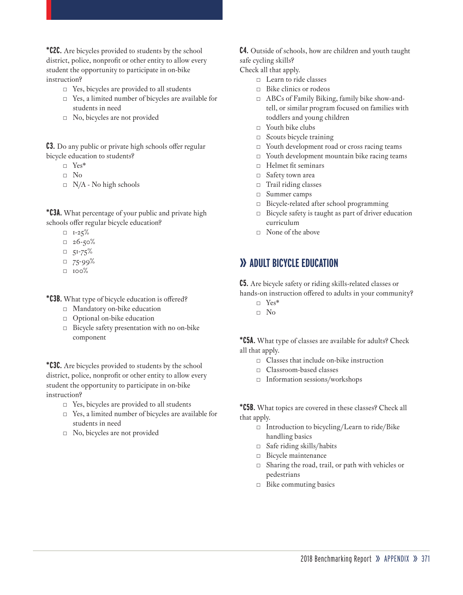**\*C2C.** Are bicycles provided to students by the school district, police, nonprofit or other entity to allow every student the opportunity to participate in on-bike instruction?

- □ Yes, bicycles are provided to all students
- □ Yes, a limited number of bicycles are available for students in need
- □ No, bicycles are not provided

**C3.** Do any public or private high schools offer regular bicycle education to students?

- □ Yes\*
- □ No
- $\Box$  N/A No high schools

**\*C3A.** What percentage of your public and private high schools offer regular bicycle education?

- $\Box$  I-25%
- $-26 50%$
- $\n 51-75\%$
- $\Box$  75-99%
- $\Box$  100%

**\*C3B.** What type of bicycle education is offered?

- □ Mandatory on-bike education
- □ Optional on-bike education
- □ Bicycle safety presentation with no on-bike component

**\*C3C.** Are bicycles provided to students by the school district, police, nonprofit or other entity to allow every student the opportunity to participate in on-bike instruction?

- □ Yes, bicycles are provided to all students
- □ Yes, a limited number of bicycles are available for students in need
- □ No, bicycles are not provided

**C4.** Outside of schools, how are children and youth taught safe cycling skills?

Check all that apply.

- □ Learn to ride classes
- □ Bike clinics or rodeos
- □ ABCs of Family Biking, family bike show-andtell, or similar program focused on families with toddlers and young children
- $\Box$  Youth bike clubs
- □ Scouts bicycle training
- □ Youth development road or cross racing teams
- □ Youth development mountain bike racing teams
- □ Helmet fit seminars
- □ Safety town area
- $\Box$  Trail riding classes
- □ Summer camps
- □ Bicycle-related after school programming
- □ Bicycle safety is taught as part of driver education curriculum
- □ None of the above

### **» ADULT BICYCLE EDUCATION**

**C5.** Are bicycle safety or riding skills-related classes or hands-on instruction offered to adults in your community?

- □ Yes\*
- □ No

**\*C5A.** What type of classes are available for adults? Check all that apply.

- □ Classes that include on-bike instruction
- □ Classroom-based classes
- □ Information sessions/workshops

**\*C5B.** What topics are covered in these classes? Check all that apply.

- □ Introduction to bicycling/Learn to ride/Bike handling basics
- □ Safe riding skills/habits
- □ Bicycle maintenance
- □ Sharing the road, trail, or path with vehicles or pedestrians
- □ Bike commuting basics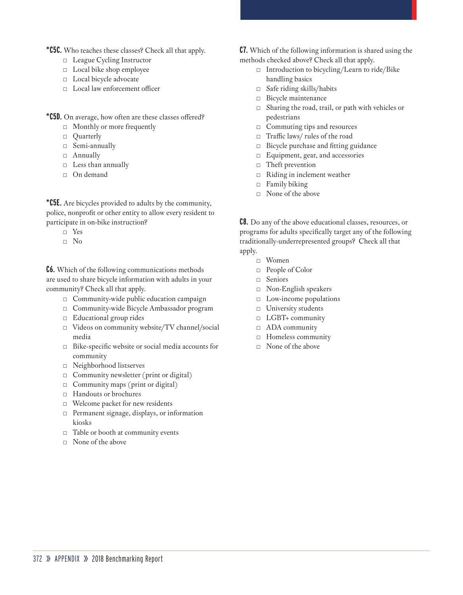**\*C5C.** Who teaches these classes? Check all that apply.

- □ League Cycling Instructor
- □ Local bike shop employee
- □ Local bicycle advocate
- □ Local law enforcement officer
- **\*C5D.** On average, how often are these classes offered?
	- □ Monthly or more frequently
	- □ Quarterly
	- □ Semi-annually
	- □ Annually
	- □ Less than annually
	- □ On demand

**\*C5E.** Are bicycles provided to adults by the community, police, nonprofit or other entity to allow every resident to participate in on-bike instruction?

- □ Yes
- □ No

**C6.** Which of the following communications methods are used to share bicycle information with adults in your community? Check all that apply.

- □ Community-wide public education campaign
- □ Community-wide Bicycle Ambassador program
- □ Educational group rides
- □ Videos on community website/TV channel/social media
- □ Bike-specific website or social media accounts for community
- □ Neighborhood listserves
- $\Box$  Community newsletter (print or digital)
- $\Box$  Community maps (print or digital)
- □ Handouts or brochures
- □ Welcome packet for new residents
- □ Permanent signage, displays, or information kiosks
- □ Table or booth at community events
- □ None of the above

**C7.** Which of the following information is shared using the methods checked above? Check all that apply.

- □ Introduction to bicycling/Learn to ride/Bike handling basics
- □ Safe riding skills/habits
- □ Bicycle maintenance
- □ Sharing the road, trail, or path with vehicles or pedestrians
- □ Commuting tips and resources
- □ Traffic laws/ rules of the road
- □ Bicycle purchase and fitting guidance
- □ Equipment, gear, and accessories
- □ Theft prevention
- □ Riding in inclement weather
- $\Box$  Family biking
- □ None of the above

**C8.** Do any of the above educational classes, resources, or programs for adults specifically target any of the following traditionally-underrepresented groups? Check all that apply.

- □ Women
- □ People of Color
- □ Seniors
- □ Non-English speakers
- □ Low-income populations
- □ University students
- □ LGBT+ community
- □ ADA community
- □ Homeless community
- □ None of the above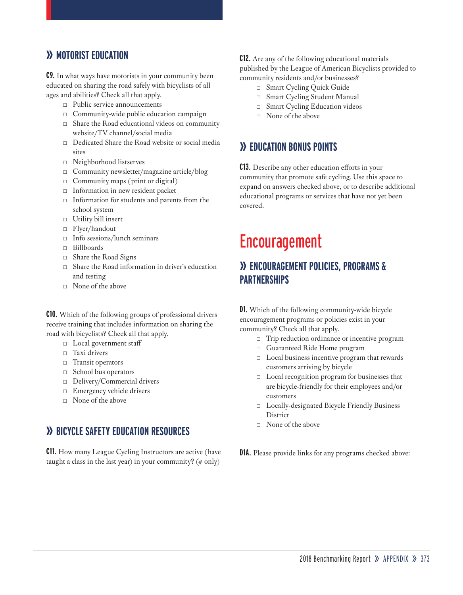## **» MOTORIST EDUCATION**

**C9.** In what ways have motorists in your community been educated on sharing the road safely with bicyclists of all ages and abilities? Check all that apply.

- □ Public service announcements
- □ Community-wide public education campaign
- □ Share the Road educational videos on community website/TV channel/social media
- $\Box$  Dedicated Share the Road website or social media sites
- □ Neighborhood listserves
- □ Community newsletter/magazine article/blog
- $\Box$  Community maps (print or digital)
- □ Information in new resident packet
- □ Information for students and parents from the school system
- □ Utility bill insert
- □ Flyer/handout
- □ Info sessions/lunch seminars
- □ Billboards
- □ Share the Road Signs
- □ Share the Road information in driver's education and testing
- $\Box$  None of the above

**C10.** Which of the following groups of professional drivers receive training that includes information on sharing the road with bicyclists? Check all that apply.

- □ Local government staff
- □ Taxi drivers
- □ Transit operators
- □ School bus operators
- □ Delivery/Commercial drivers
- □ Emergency vehicle drivers
- $\Box$  None of the above

### **» BICYCLE SAFETY EDUCATION RESOURCES**

**C11.** How many League Cycling Instructors are active (have taught a class in the last year) in your community?  $($ # only $)$ 

#### **C12.** Are any of the following educational materials published by the League of American Bicyclists provided to community residents and/or businesses?

- □ Smart Cycling Quick Guide
- □ Smart Cycling Student Manual
- □ Smart Cycling Education videos
- □ None of the above

#### **» EDUCATION BONUS POINTS**

**C13.** Describe any other education efforts in your community that promote safe cycling. Use this space to expand on answers checked above, or to describe additional educational programs or services that have not yet been covered.

## Encouragement

## **» ENCOURAGEMENT POLICIES, PROGRAMS & PARTNERSHIPS**

**D1.** Which of the following community-wide bicycle encouragement programs or policies exist in your community? Check all that apply.

- □ Trip reduction ordinance or incentive program
- □ Guaranteed Ride Home program
- □ Local business incentive program that rewards customers arriving by bicycle
- □ Local recognition program for businesses that are bicycle-friendly for their employees and/or customers
- □ Locally-designated Bicycle Friendly Business **District**
- □ None of the above
- **D1A.** Please provide links for any programs checked above: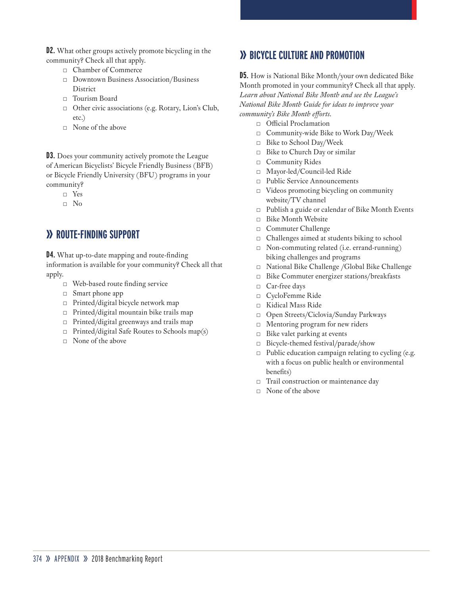**D2.** What other groups actively promote bicycling in the community? Check all that apply.

- □ Chamber of Commerce
- □ Downtown Business Association/Business District
- □ Tourism Board
- □ Other civic associations (e.g. Rotary, Lion's Club, etc.)
- $\Box$  None of the above

**D3.** Does your community actively promote the League of American Bicyclists' Bicycle Friendly Business (BFB) or Bicycle Friendly University (BFU) programs in your community?

□ Yes

□ No

### **» ROUTE-FINDING SUPPORT**

**D4.** What up-to-date mapping and route-finding information is available for your community? Check all that apply.

- □ Web-based route finding service
- □ Smart phone app
- □ Printed/digital bicycle network map
- □ Printed/digital mountain bike trails map
- □ Printed/digital greenways and trails map
- $\Box$  Printed/digital Safe Routes to Schools map(s)
- $\Box$  None of the above

## **» BICYCLE CULTURE AND PROMOTION**

**D5.** How is National Bike Month/your own dedicated Bike Month promoted in your community? Check all that apply. *Learn about National Bike Month and see the League's National Bike Month Guide for ideas to improve your community's Bike Month efforts.*

- □ Official Proclamation
- □ Community-wide Bike to Work Day/Week
- □ Bike to School Day/Week
- □ Bike to Church Day or similar
- □ Community Rides
- □ Mayor-led/Council-led Ride
- □ Public Service Announcements
- □ Videos promoting bicycling on community website/TV channel
- □ Publish a guide or calendar of Bike Month Events
- □ Bike Month Website
- □ Commuter Challenge
- □ Challenges aimed at students biking to school
- □ Non-commuting related (i.e. errand-running) biking challenges and programs
- □ National Bike Challenge /Global Bike Challenge
- □ Bike Commuter energizer stations/breakfasts
- □ Car-free days
- □ CycloFemme Ride
- □ Kidical Mass Ride
- □ Open Streets/Ciclovia/Sunday Parkways
- □ Mentoring program for new riders
- $\Box$  Bike valet parking at events
- □ Bicycle-themed festival/parade/show
- □ Public education campaign relating to cycling (e.g. with a focus on public health or environmental benefits)
- □ Trail construction or maintenance day
- □ None of the above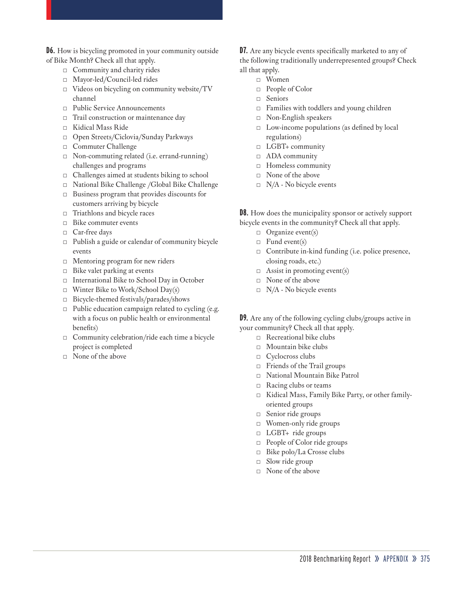**D6.** How is bicycling promoted in your community outside of Bike Month? Check all that apply.

- □ Community and charity rides
- □ Mayor-led/Council-led rides
- □ Videos on bicycling on community website/TV channel
- □ Public Service Announcements
- □ Trail construction or maintenance day
- □ Kidical Mass Ride
- □ Open Streets/Ciclovia/Sunday Parkways
- □ Commuter Challenge
- □ Non-commuting related (i.e. errand-running) challenges and programs
- □ Challenges aimed at students biking to school
- □ National Bike Challenge /Global Bike Challenge □ Business program that provides discounts for
- customers arriving by bicycle
- □ Triathlons and bicycle races
- □ Bike commuter events
- □ Car-free days
- $\Box$  Publish a guide or calendar of community bicycle events
- □ Mentoring program for new riders
- $\Box$  Bike valet parking at events
- □ International Bike to School Day in October
- $\Box$  Winter Bike to Work/School Day(s)
- □ Bicycle-themed festivals/parades/shows
- $\Box$  Public education campaign related to cycling (e.g. with a focus on public health or environmental benefits)
- □ Community celebration/ride each time a bicycle project is completed
- □ None of the above

**D7.** Are any bicycle events specifically marketed to any of the following traditionally underrepresented groups? Check all that apply.

- □ Women
- □ People of Color
- □ Seniors
- □ Families with toddlers and young children
- □ Non-English speakers
- $\Box$  Low-income populations (as defined by local regulations)
- □ LGBT+ community
- □ ADA community
- □ Homeless community
- □ None of the above
- $\Box$  N/A No bicycle events

**D8.** How does the municipality sponsor or actively support bicycle events in the community? Check all that apply.

- □ Organize event(s)
- $\Box$  Fund event(s)
- □ Contribute in-kind funding (i.e. police presence, closing roads, etc.)
- $\Box$  Assist in promoting event(s)
- □ None of the above
- $\Box$  N/A No bicycle events

**D9.** Are any of the following cycling clubs/groups active in your community? Check all that apply.

- □ Recreational bike clubs
- □ Mountain bike clubs
- □ Cyclocross clubs
- □ Friends of the Trail groups
- □ National Mountain Bike Patrol
- □ Racing clubs or teams
- □ Kidical Mass, Family Bike Party, or other familyoriented groups
- □ Senior ride groups
- □ Women-only ride groups
- □ LGBT+ ride groups
- □ People of Color ride groups
- □ Bike polo/La Crosse clubs
- □ Slow ride group
- $\Box$  None of the above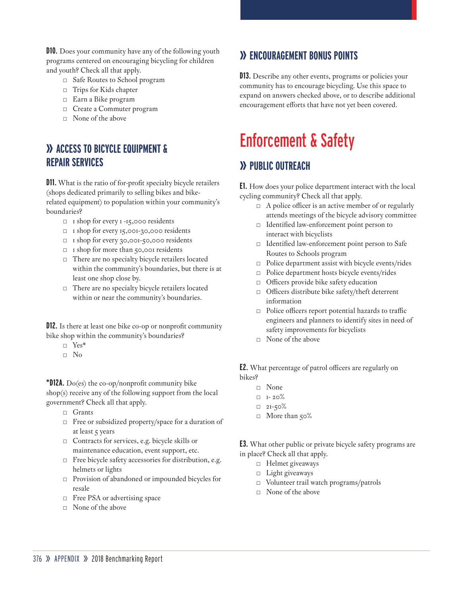**D10.** Does your community have any of the following youth programs centered on encouraging bicycling for children and youth? Check all that apply.

- □ Safe Routes to School program
- □ Trips for Kids chapter
- □ Earn a Bike program
- □ Create a Commuter program
- □ None of the above

## **» ACCESS TO BICYCLE EQUIPMENT & REPAIR SERVICES**

**D11.** What is the ratio of for-profit specialty bicycle retailers (shops dedicated primarily to selling bikes and bikerelated equipment) to population within your community's boundaries?

- □ 1 shop for every 1 -15,000 residents
- □ 1 shop for every 15,001-30,000 residents
- □ 1 shop for every 30,001-50,000 residents
- □ 1 shop for more than 50,001 residents
- □ There are no specialty bicycle retailers located within the community's boundaries, but there is at least one shop close by.
- □ There are no specialty bicycle retailers located within or near the community's boundaries.

**D12.** Is there at least one bike co-op or nonprofit community bike shop within the community's boundaries?

- □ Yes\*
- □ No

**\*D12A.** Do(es) the co-op/nonprofit community bike shop(s) receive any of the following support from the local government? Check all that apply.

- □ Grants
- □ Free or subsidized property/space for a duration of at least 5 years
- □ Contracts for services, e.g. bicycle skills or maintenance education, event support, etc.
- $\Box$  <br>Free bicycle safety accessories for distribution, e.g. helmets or lights
- □ Provision of abandoned or impounded bicycles for resale
- □ Free PSA or advertising space
- □ None of the above

## **» ENCOURAGEMENT BONUS POINTS**

**D13.** Describe any other events, programs or policies your community has to encourage bicycling. Use this space to expand on answers checked above, or to describe additional encouragement efforts that have not yet been covered.

# Enforcement & Safety

## **» PUBLIC OUTREACH**

**E1.** How does your police department interact with the local cycling community? Check all that apply.

- $\Box$  A police officer is an active member of or regularly attends meetings of the bicycle advisory committee
- □ Identified law-enforcement point person to interact with bicyclists
- □ Identified law-enforcement point person to Safe Routes to Schools program
- □ Police department assist with bicycle events/rides
- □ Police department hosts bicycle events/rides
- □ Officers provide bike safety education
- □ Officers distribute bike safety/theft deterrent information
- □ Police officers report potential hazards to traffic engineers and planners to identify sites in need of safety improvements for bicyclists
- $\Box$  None of the above

**E2.** What percentage of patrol officers are regularly on bikes?

- □ None
- $\Box$  I- 20%
- $\n 2I 50\%$
- □ More than 50%

**E3.** What other public or private bicycle safety programs are in place? Check all that apply.

- □ Helmet giveaways
- □ Light giveaways
- □ Volunteer trail watch programs/patrols
- □ None of the above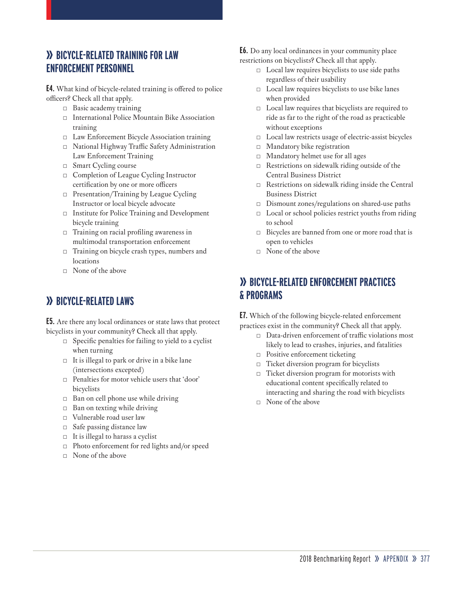## **» BICYCLE-RELATED TRAINING FOR LAW ENFORCEMENT PERSONNEL**

**E4.** What kind of bicycle-related training is offered to police officers? Check all that apply.

- □ Basic academy training
- □ International Police Mountain Bike Association training
- □ Law Enforcement Bicycle Association training
- □ National Highway Traffic Safety Administration Law Enforcement Training
- □ Smart Cycling course
- □ Completion of League Cycling Instructor certification by one or more officers
- □ Presentation/Training by League Cycling Instructor or local bicycle advocate
- □ Institute for Police Training and Development bicycle training
- □ Training on racial profiling awareness in multimodal transportation enforcement
- □ Training on bicycle crash types, numbers and locations
- $\Box$  None of the above

## **» BICYCLE-RELATED LAWS**

**E5.** Are there any local ordinances or state laws that protect bicyclists in your community? Check all that apply.

- $\Box$  Specific penalties for failing to yield to a cyclist when turning
- $\Box$  It is illegal to park or drive in a bike lane (intersections excepted)
- □ Penalties for motor vehicle users that 'door' bicyclists
- $\Box$  Ban on cell phone use while driving
- □ Ban on texting while driving
- □ Vulnerable road user law
- □ Safe passing distance law
- □ It is illegal to harass a cyclist
- □ Photo enforcement for red lights and/or speed
- $\Box$  None of the above

**E6.** Do any local ordinances in your community place restrictions on bicyclists? Check all that apply.

- □ Local law requires bicyclists to use side paths regardless of their usability
- □ Local law requires bicyclists to use bike lanes when provided
- □ Local law requires that bicyclists are required to ride as far to the right of the road as practicable without exceptions
- □ Local law restricts usage of electric-assist bicycles
- □ Mandatory bike registration
- □ Mandatory helmet use for all ages
- $\Box$  Restrictions on sidewalk riding outside of the Central Business District
- $\Box$  Restrictions on sidewalk riding inside the Central Business District
- □ Dismount zones/regulations on shared-use paths
- □ Local or school policies restrict youths from riding to school
- □ Bicycles are banned from one or more road that is open to vehicles
- □ None of the above

## **» BICYCLE-RELATED ENFORCEMENT PRACTICES & PROGRAMS**

**E7.** Which of the following bicycle-related enforcement practices exist in the community? Check all that apply.

- □ Data-driven enforcement of traffic violations most likely to lead to crashes, injuries, and fatalities
- □ Positive enforcement ticketing
- □ Ticket diversion program for bicyclists
- □ Ticket diversion program for motorists with educational content specifically related to interacting and sharing the road with bicyclists
- □ None of the above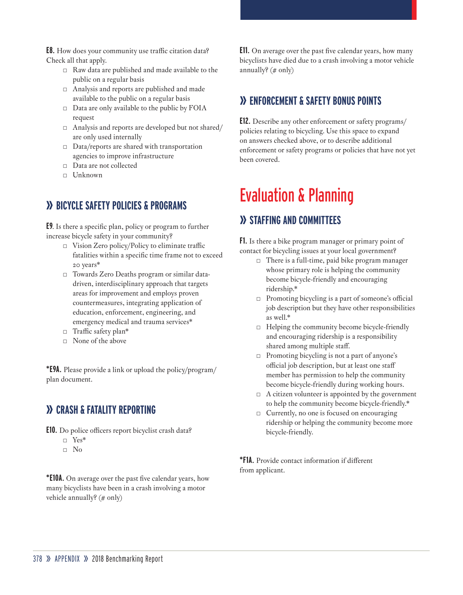**E8.** How does your community use traffic citation data? Check all that apply.

- □ Raw data are published and made available to the public on a regular basis
- □ Analysis and reports are published and made available to the public on a regular basis
- □ Data are only available to the public by FOIA request
- □ Analysis and reports are developed but not shared/ are only used internally
- $\Box$  Data/reports are shared with transportation agencies to improve infrastructure
- □ Data are not collected
- □ Unknown

## **» BICYCLE SAFETY POLICIES & PROGRAMS**

**E9**. Is there a specific plan, policy or program to further increase bicycle safety in your community?

- $\Box$  Vision Zero policy/Policy to eliminate traffic fatalities within a specific time frame not to exceed 20 years\*
- □ Towards Zero Deaths program or similar datadriven, interdisciplinary approach that targets areas for improvement and employs proven countermeasures, integrating application of education, enforcement, engineering, and emergency medical and trauma services\*
- □ Traffic safety plan<sup>\*</sup>
- $\Box$  None of the above

**\*E9A.** Please provide a link or upload the policy/program/ plan document.

## **» CRASH & FATALITY REPORTING**

**E10.** Do police officers report bicyclist crash data?

- □ Yes\*
- □ No

**\*E10A.** On average over the past five calendar years, how many bicyclists have been in a crash involving a motor vehicle annually? (# only)

**E11.** On average over the past five calendar years, how many bicyclists have died due to a crash involving a motor vehicle annually?  $(\# \text{ only})$ 

## **» ENFORCEMENT & SAFETY BONUS POINTS**

**E12.** Describe any other enforcement or safety programs/ policies relating to bicycling. Use this space to expand on answers checked above, or to describe additional enforcement or safety programs or policies that have not yet been covered.

## Evaluation & Planning

## **» STAFFING AND COMMITTEES**

**F1.** Is there a bike program manager or primary point of contact for bicycling issues at your local government?

- $\Box$  There is a full-time, paid bike program manager whose primary role is helping the community become bicycle-friendly and encouraging ridership.\*
- □ Promoting bicycling is a part of someone's official job description but they have other responsibilities as well.\*
- □ Helping the community become bicycle-friendly and encouraging ridership is a responsibility shared among multiple staff.
- □ Promoting bicycling is not a part of anyone's official job description, but at least one staff member has permission to help the community become bicycle-friendly during working hours.
- $\Box$  A citizen volunteer is appointed by the government to help the community become bicycle-friendly.\*
- □ Currently, no one is focused on encouraging ridership or helping the community become more bicycle-friendly.

**\*F1A.** Provide contact information if different from applicant.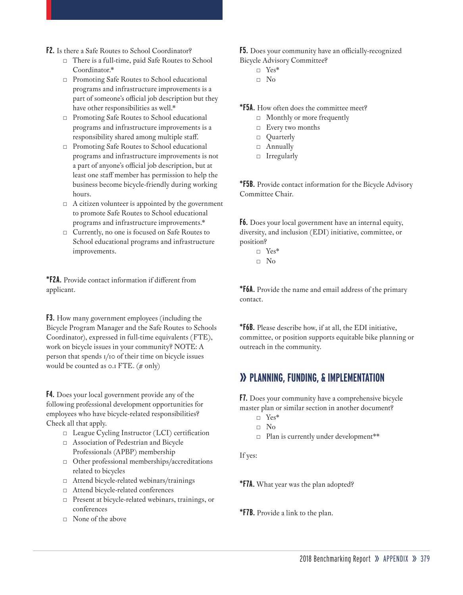- **F2.** Is there a Safe Routes to School Coordinator?
	- □ There is a full-time, paid Safe Routes to School Coordinator.\*
	- □ Promoting Safe Routes to School educational programs and infrastructure improvements is a part of someone's official job description but they have other responsibilities as well.\*
	- □ Promoting Safe Routes to School educational programs and infrastructure improvements is a responsibility shared among multiple staff.
	- □ Promoting Safe Routes to School educational programs and infrastructure improvements is not a part of anyone's official job description, but at least one staff member has permission to help the business become bicycle-friendly during working hours.
	- $\Box$  A citizen volunteer is appointed by the government to promote Safe Routes to School educational programs and infrastructure improvements.\*
	- □ Currently, no one is focused on Safe Routes to School educational programs and infrastructure improvements.

**\*F2A.** Provide contact information if different from applicant.

**F3.** How many government employees (including the Bicycle Program Manager and the Safe Routes to Schools Coordinator), expressed in full-time equivalents (FTE), work on bicycle issues in your community? NOTE: A person that spends 1/10 of their time on bicycle issues would be counted as 0.1 FTE. (# only)

**F4.** Does your local government provide any of the following professional development opportunities for employees who have bicycle-related responsibilities? Check all that apply.

- □ League Cycling Instructor (LCI) certification
- □ Association of Pedestrian and Bicycle Professionals (APBP) membership
- □ Other professional memberships/accreditations related to bicycles
- □ Attend bicycle-related webinars/trainings
- □ Attend bicycle-related conferences
- □ Present at bicycle-related webinars, trainings, or conferences
- □ None of the above

**F5.** Does your community have an officially-recognized Bicycle Advisory Committee?

- □ Yes\*
- □ No

**\*F5A.** How often does the committee meet?

- □ Monthly or more frequently
- □ Every two months
- □ Quarterly
- □ Annually
- □ Irregularly

**\*F5B.** Provide contact information for the Bicycle Advisory Committee Chair.

**F6.** Does your local government have an internal equity, diversity, and inclusion (EDI) initiative, committee, or position?

- □ Yes\*
- $\neg$  No

**\*F6A.** Provide the name and email address of the primary contact.

**\*F6B.** Please describe how, if at all, the EDI initiative, committee, or position supports equitable bike planning or outreach in the community.

## **» PLANNING, FUNDING, & IMPLEMENTATION**

**F7.** Does your community have a comprehensive bicycle master plan or similar section in another document?

- □ Yes\*
- □ No
- □ Plan is currently under development\*\*

If yes:

**\*F7A.** What year was the plan adopted?

**\*F7B.** Provide a link to the plan.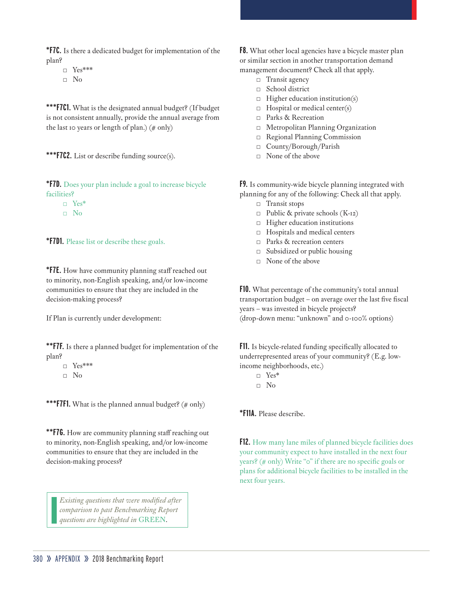**\*F7C.** Is there a dedicated budget for implementation of the plan?

□ Yes\*\*\* □ No

**\*\*\*F7C1.** What is the designated annual budget? (If budget is not consistent annually, provide the annual average from the last 10 years or length of plan.)  $(\# \text{ only})$ 



**\*F7D.** Does your plan include a goal to increase bicycle facilities?

□ Yes\*  $\neg$  No

**\*F7D1.** Please list or describe these goals.

**\*F7E.** How have community planning staff reached out to minority, non-English speaking, and/or low-income communities to ensure that they are included in the decision-making process?

If Plan is currently under development:

**\*\*F7F.** Is there a planned budget for implementation of the plan?

□ Yes\*\*\* □ No

\*\*\***F7F1.** What is the planned annual budget? (# only)

**\*\*F7G.** How are community planning staff reaching out to minority, non-English speaking, and/or low-income communities to ensure that they are included in the decision-making process?

*Existing questions that were modified after comparison to past Benchmarking Report questions are highlighted in* GREEN.

**F8.** What other local agencies have a bicycle master plan or similar section in another transportation demand management document? Check all that apply.

- □ Transit agency
- □ School district
- $\Box$  Higher education institution(s)
- $\Box$  Hospital or medical center(s)
- □ Parks & Recreation
- □ Metropolitan Planning Organization
- □ Regional Planning Commission
- □ County/Borough/Parish
- $\neg$  None of the above

**F9.** Is community-wide bicycle planning integrated with planning for any of the following: Check all that apply.

- □ Transit stops
- $\Box$  Public & private schools (K-12)
- □ Higher education institutions
- □ Hospitals and medical centers
- □ Parks & recreation centers
- □ Subsidized or public housing
- □ None of the above

**F10.** What percentage of the community's total annual transportation budget – on average over the last five fiscal years – was invested in bicycle projects? (drop-down menu: "unknown" and 0-100% options)

**F11.** Is bicycle-related funding specifically allocated to underrepresented areas of your community? (E.g. lowincome neighborhoods, etc.)

- □ Yes\*
- □ No

**\*F11A.** Please describe.

**F12.** How many lane miles of planned bicycle facilities does your community expect to have installed in the next four years? (# only) Write "0" if there are no specific goals or plans for additional bicycle facilities to be installed in the next four years.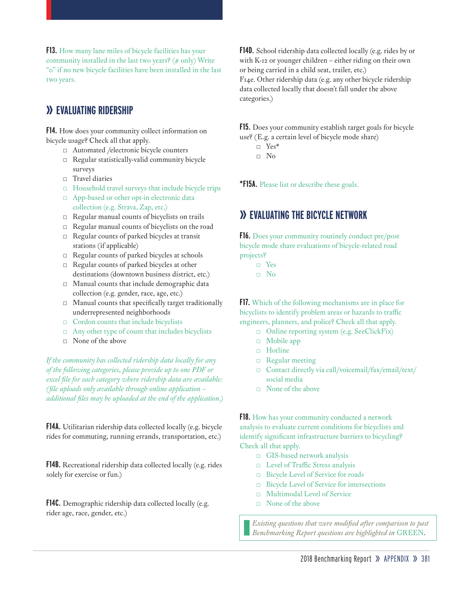**F13.** How many lane miles of bicycle facilities has your community installed in the last two years? (# only) Write "0" if no new bicycle facilities have been installed in the last two years.

#### **» EVALUATING RIDERSHIP**

**F14.** How does your community collect information on bicycle usage? Check all that apply.

- □ Automated /electronic bicycle counters
- □ Regular statistically-valid community bicycle surveys
- □ Travel diaries
- □ Household travel surveys that include bicycle trips
- App-based or other opt-in electronic data collection (e.g. Strava, Zap, etc.)
- □ Regular manual counts of bicyclists on trails
- □ Regular manual counts of bicyclists on the road
- □ Regular counts of parked bicycles at transit stations (if applicable)
- $\Box$  Regular counts of parked bicycles at schools
- □ Regular counts of parked bicycles at other destinations (downtown business district, etc.)
- □ Manual counts that include demographic data collection (e.g. gender, race, age, etc.)
- □ Manual counts that specifically target traditionally underrepresented neighborhoods
- □ Cordon counts that include bicyclists
- □ Any other type of count that includes bicyclists
- □ None of the above

*If the community has collected ridership data locally for any of the following categories, please provide up to one PDF or excel file for each category where ridership data are available: (file uploads only available through online application – additional files may be uploaded at the end of the application.)*

**F14A.** Utilitarian ridership data collected locally (e.g. bicycle rides for commuting, running errands, transportation, etc.)

**F14B.** Recreational ridership data collected locally (e.g. rides solely for exercise or fun.)

**F14C.** Demographic ridership data collected locally (e.g. rider age, race, gender, etc.)

**F14D.** School ridership data collected locally (e.g. rides by or with K-12 or younger children – either riding on their own or being carried in a child seat, trailer, etc.)

F14e. Other ridership data (e.g. any other bicycle ridership data collected locally that doesn't fall under the above categories.)

**F15.** Does your community establish target goals for bicycle use? (E.g. a certain level of bicycle mode share)

□ Yes\*

□ No

**\*F15A.** Please list or describe these goals.

#### **» EVALUATING THE BICYCLE NETWORK**

**F16.** Does your community routinely conduct pre/post bicycle mode share evaluations of bicycle-related road projects?

- □ Yes
- □ No

**F17.** Which of the following mechanisms are in place for bicyclists to identify problem areas or hazards to traffic engineers, planners, and police? Check all that apply.

- □ Online reporting system (e.g. SeeClickFix)
- □ Mobile app
- □ Hotline
- □ Regular meeting
- □ Contact directly via call/voicemail/fax/email/text/ social media
- □ None of the above

**F18.** How has your community conducted a network analysis to evaluate current conditions for bicyclists and identify significant infrastructure barriers to bicycling? Check all that apply.

- □ GIS-based network analysis
- □ Level of Traffic Stress analysis
- □ Bicycle Level of Service for roads
- □ Bicycle Level of Service for intersections
- □ Multimodal Level of Service
- □ None of the above

*Existing questions that were modified after comparison to past Benchmarking Report questions are highlighted in* GREEN.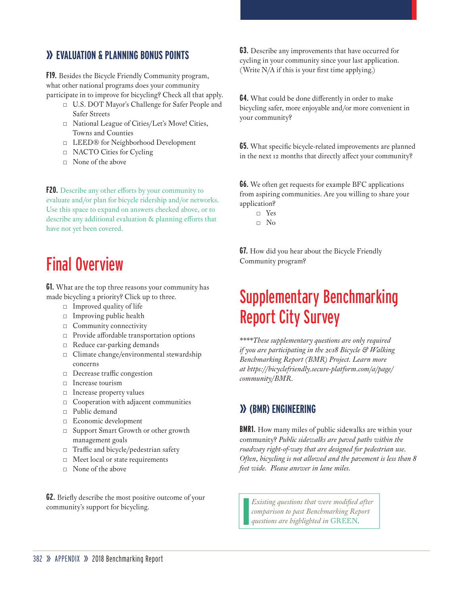## **» EVALUATION & PLANNING BONUS POINTS**

**F19.** Besides the Bicycle Friendly Community program, what other national programs does your community participate in to improve for bicycling? Check all that apply.

- □ U.S. DOT Mayor's Challenge for Safer People and Safer Streets
- □ National League of Cities/Let's Move! Cities, Towns and Counties
- □ LEED® for Neighborhood Development
- □ NACTO Cities for Cycling
- □ None of the above

**F20.** Describe any other efforts by your community to evaluate and/or plan for bicycle ridership and/or networks. Use this space to expand on answers checked above, or to describe any additional evaluation & planning efforts that have not yet been covered.

# Final Overview

**G1.** What are the top three reasons your community has made bicycling a priority? Click up to three.

- □ Improved quality of life
- □ Improving public health
- □ Community connectivity
- □ Provide affordable transportation options
- □ Reduce car-parking demands
- □ Climate change/environmental stewardship concerns
- □ Decrease traffic congestion
- □ Increase tourism
- □ Increase property values
- □ Cooperation with adjacent communities
- □ Public demand
- □ Economic development
- □ Support Smart Growth or other growth management goals
- □ Traffic and bicycle/pedestrian safety
- □ Meet local or state requirements
- $\Box$  None of the above

**G2.** Briefly describe the most positive outcome of your community's support for bicycling.

**G3.** Describe any improvements that have occurred for cycling in your community since your last application. (Write N/A if this is your first time applying.)

**G4.** What could be done differently in order to make bicycling safer, more enjoyable and/or more convenient in your community?

**G5.** What specific bicycle-related improvements are planned in the next 12 months that directly affect your community?

**G6.** We often get requests for example BFC applications from aspiring communities. Are you willing to share your application?

- □ Yes
- $\neg$  No

**G7.** How did you hear about the Bicycle Friendly Community program?

## Supplementary Benchmarking Report City Survey

*\*\*\*\*These supplementary questions are only required if you are participating in the 2018 Bicycle & Walking Benchmarking Report (BMR) Project. Learn more at https://bicyclefriendly.secure-platform.com/a/page/ community/BMR.* 

## **» (BMR) ENGINEERING**

**BMR1.** How many miles of public sidewalks are within your community? *Public sidewalks are paved paths within the roadway right-of-way that are designed for pedestrian use. Often, bicycling is not allowed and the pavement is less than 8 feet wide. Please answer in lane miles.*

*Existing questions that were modified after comparison to past Benchmarking Report questions are highlighted in* GREEN.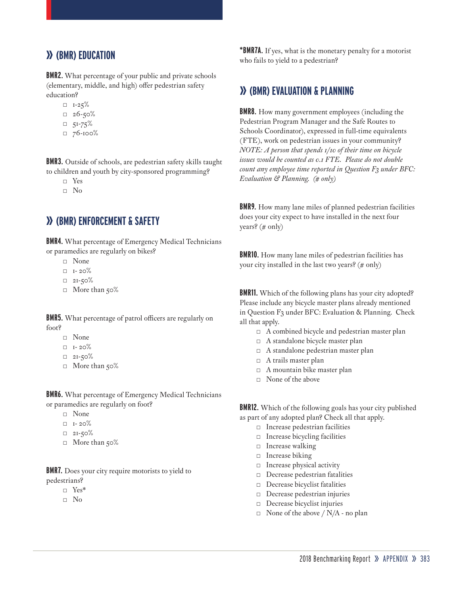#### **» (BMR) EDUCATION**

**BMR2.** What percentage of your public and private schools (elementary, middle, and high) offer pedestrian safety education?

- $\neg$  I-25%
- $= 26 50%$
- $\n 51-75\%$
- $76 100%$

**BMR3.** Outside of schools, are pedestrian safety skills taught to children and youth by city-sponsored programming?

- □ Yes
- □ No

#### **» (BMR) ENFORCEMENT & SAFETY**

**BMR4.** What percentage of Emergency Medical Technicians or paramedics are regularly on bikes?

- □ None
- $\Box$  I- 20%
- $\Box$  2I-50%
- □ More than 50%

**BMR5.** What percentage of patrol officers are regularly on foot?

- □ None
- $\Box$  I- 20%
- $\Box$  21-50%
- □ More than 50%

**BMR6.** What percentage of Emergency Medical Technicians or paramedics are regularly on foot?

- □ None
- $\Box$  I- 20%
- $\Box$  21-50%
- □ More than 50%

**BMR7.** Does your city require motorists to yield to pedestrians?

- □ Yes\*
- □ No

**\*BMR7A.** If yes, what is the monetary penalty for a motorist who fails to yield to a pedestrian?

#### **» (BMR) EVALUATION & PLANNING**

**BMR8.** How many government employees (including the Pedestrian Program Manager and the Safe Routes to Schools Coordinator), expressed in full-time equivalents (FTE), work on pedestrian issues in your community? *NOTE: A person that spends 1/10 of their time on bicycle issues would be counted as 0.1 FTE. Please do not double count any employee time reported in Question F3 under BFC: Evaluation & Planning. (# only)* 

**BMR9.** How many lane miles of planned pedestrian facilities does your city expect to have installed in the next four years? (# only)

**BMR10.** How many lane miles of pedestrian facilities has your city installed in the last two years? (# only)

**BMR11.** Which of the following plans has your city adopted? Please include any bicycle master plans already mentioned in Question F3 under BFC: Evaluation & Planning. Check all that apply.

- □ A combined bicycle and pedestrian master plan
- □ A standalone bicycle master plan
- □ A standalone pedestrian master plan
- □ A trails master plan
- $\Box$  A mountain bike master plan
- □ None of the above

**BMR12.** Which of the following goals has your city published as part of any adopted plan? Check all that apply.

- □ Increase pedestrian facilities
- □ Increase bicycling facilities
- □ Increase walking
- □ Increase biking
- □ Increase physical activity
- □ Decrease pedestrian fatalities
- □ Decrease bicyclist fatalities
- □ Decrease pedestrian injuries
- □ Decrease bicyclist injuries
- $\Box$  None of the above / N/A no plan